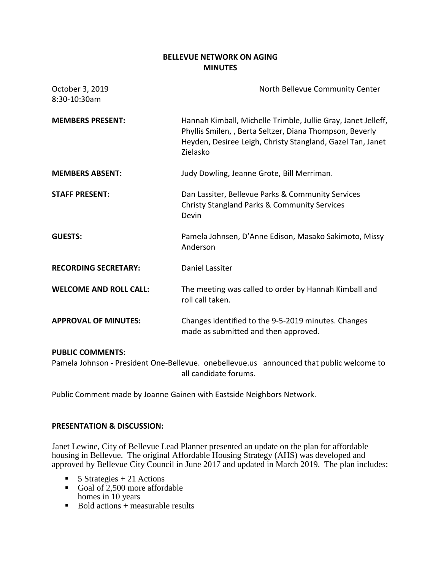### **BELLEVUE NETWORK ON AGING MINUTES**

| October 3, 2019<br>8:30-10:30am | North Bellevue Community Center                                                                                                                                                                     |
|---------------------------------|-----------------------------------------------------------------------------------------------------------------------------------------------------------------------------------------------------|
| <b>MEMBERS PRESENT:</b>         | Hannah Kimball, Michelle Trimble, Jullie Gray, Janet Jelleff,<br>Phyllis Smilen, , Berta Seltzer, Diana Thompson, Beverly<br>Heyden, Desiree Leigh, Christy Stangland, Gazel Tan, Janet<br>Zielasko |
| <b>MEMBERS ABSENT:</b>          | Judy Dowling, Jeanne Grote, Bill Merriman.                                                                                                                                                          |
| <b>STAFF PRESENT:</b>           | Dan Lassiter, Bellevue Parks & Community Services<br><b>Christy Stangland Parks &amp; Community Services</b><br>Devin                                                                               |
| <b>GUESTS:</b>                  | Pamela Johnsen, D'Anne Edison, Masako Sakimoto, Missy<br>Anderson                                                                                                                                   |
| <b>RECORDING SECRETARY:</b>     | <b>Daniel Lassiter</b>                                                                                                                                                                              |
| <b>WELCOME AND ROLL CALL:</b>   | The meeting was called to order by Hannah Kimball and<br>roll call taken.                                                                                                                           |
| <b>APPROVAL OF MINUTES:</b>     | Changes identified to the 9-5-2019 minutes. Changes<br>made as submitted and then approved.                                                                                                         |

#### **PUBLIC COMMENTS:**

Pamela Johnson - President One-Bellevue. onebellevue.us announced that public welcome to all candidate forums.

Public Comment made by Joanne Gainen with Eastside Neighbors Network.

#### **PRESENTATION & DISCUSSION:**

Janet Lewine, City of Bellevue Lead Planner presented an update on the plan for affordable housing in Bellevue. The original Affordable Housing Strategy (AHS) was developed and approved by Bellevue City Council in June 2017 and updated in March 2019. The plan includes:

- $\blacksquare$  5 Strategies + 21 Actions
- Goal of  $2,500$  more affordable homes in 10 years
- $\blacksquare$  Bold actions + measurable results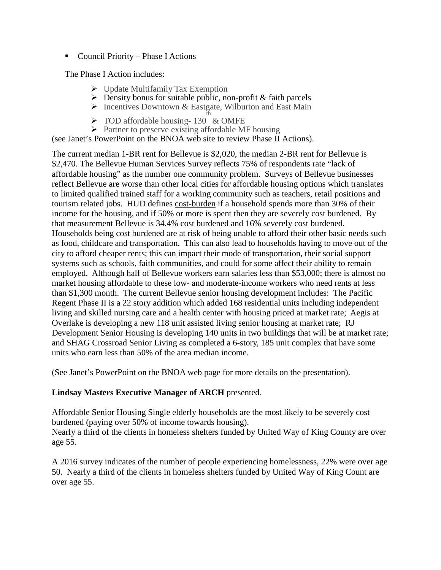■ Council Priority – Phase I Actions

The Phase I Action includes:

- $\triangleright$  Update Multifamily Tax Exemption
- $\triangleright$  Density bonus for suitable public, non-profit & faith parcels
- $\triangleright$  Incentives Downtown & Eastgate, Wilburton and East Main
- > TOD affordable housing-130 & OMFE
- $\triangleright$  Partner to preserve existing affordable MF housing

(see Janet's PowerPoint on the BNOA web site to review Phase II Actions).

The current median 1-BR rent for Bellevue is \$2,020, the median 2-BR rent for Bellevue is \$2,470. The Bellevue Human Services Survey reflects 75% of respondents rate "lack of affordable housing" as the number one community problem. Surveys of Bellevue businesses reflect Bellevue are worse than other local cities for affordable housing options which translates to limited qualified trained staff for a working community such as teachers, retail positions and tourism related jobs. HUD defines cost-burden if a household spends more than 30% of their income for the housing, and if 50% or more is spent then they are severely cost burdened. By that measurement Bellevue is 34.4% cost burdened and 16% severely cost burdened. Households being cost burdened are at risk of being unable to afford their other basic needs such as food, childcare and transportation. This can also lead to households having to move out of the city to afford cheaper rents; this can impact their mode of transportation, their social support systems such as schools, faith communities, and could for some affect their ability to remain employed. Although half of Bellevue workers earn salaries less than \$53,000; there is almost no market housing affordable to these low- and moderate-income workers who need rents at less than \$1,300 month. The current Bellevue senior housing development includes: The Pacific Regent Phase II is a 22 story addition which added 168 residential units including independent living and skilled nursing care and a health center with housing priced at market rate; Aegis at Overlake is developing a new 118 unit assisted living senior housing at market rate; RJ Development Senior Housing is developing 140 units in two buildings that will be at market rate; and SHAG Crossroad Senior Living as completed a 6-story, 185 unit complex that have some units who earn less than 50% of the area median income.

(See Janet's PowerPoint on the BNOA web page for more details on the presentation).

# **Lindsay Masters Executive Manager of ARCH** presented.

Affordable Senior Housing Single elderly households are the most likely to be severely cost burdened (paying over 50% of income towards housing). Nearly a third of the clients in homeless shelters funded by United Way of King County are over

age 55.

A 2016 survey indicates of the number of people experiencing homelessness, 22% were over age 50. Nearly a third of the clients in homeless shelters funded by United Way of King Count are over age 55.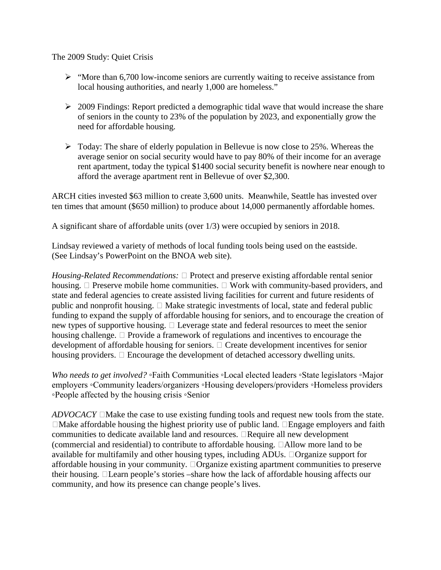The 2009 Study: Quiet Crisis

- $\triangleright$  "More than 6,700 low-income seniors are currently waiting to receive assistance from local housing authorities, and nearly 1,000 are homeless."
- $\geq 2009$  Findings: Report predicted a demographic tidal wave that would increase the share of seniors in the county to 23% of the population by 2023, and exponentially grow the need for affordable housing.
- $\triangleright$  Today: The share of elderly population in Bellevue is now close to 25%. Whereas the average senior on social security would have to pay 80% of their income for an average rent apartment, today the typical \$1400 social security benefit is nowhere near enough to afford the average apartment rent in Bellevue of over \$2,300.

ARCH cities invested \$63 million to create 3,600 units. Meanwhile, Seattle has invested over ten times that amount (\$650 million) to produce about 14,000 permanently affordable homes.

A significant share of affordable units (over 1/3) were occupied by seniors in 2018.

Lindsay reviewed a variety of methods of local funding tools being used on the eastside. (See Lindsay's PowerPoint on the BNOA web site).

*Housing-Related Recommendations:*  $\Box$  Protect and preserve existing affordable rental senior housing.  $\Box$  Preserve mobile home communities.  $\Box$  Work with community-based providers, and state and federal agencies to create assisted living facilities for current and future residents of public and nonprofit housing.  $\Box$  Make strategic investments of local, state and federal public funding to expand the supply of affordable housing for seniors, and to encourage the creation of new types of supportive housing.  $\Box$  Leverage state and federal resources to meet the senior housing challenge.  $\Box$  Provide a framework of regulations and incentives to encourage the development of affordable housing for seniors.  $\Box$  Create development incentives for senior housing providers.  $\Box$  Encourage the development of detached accessory dwelling units.

*Who needs to get involved?* ∘Faith Communities ∘Local elected leaders ∘State legislators ∘Major employers ◦Community leaders/organizers ◦Housing developers/providers ◦Homeless providers ◦People affected by the housing crisis ◦Senior

 $ADVOCACY \Box$  Make the case to use existing funding tools and request new tools from the state.  $\Box$ Make affordable housing the highest priority use of public land.  $\Box$ Engage employers and faith communities to dedicate available land and resources.  $\Box$  Require all new development (commercial and residential) to contribute to affordable housing.  $\Box$  Allow more land to be available for multifamily and other housing types, including ADUs. Organize support for affordable housing in your community. Organize existing apartment communities to preserve their housing. Learn people's stories –share how the lack of affordable housing affects our community, and how its presence can change people's lives.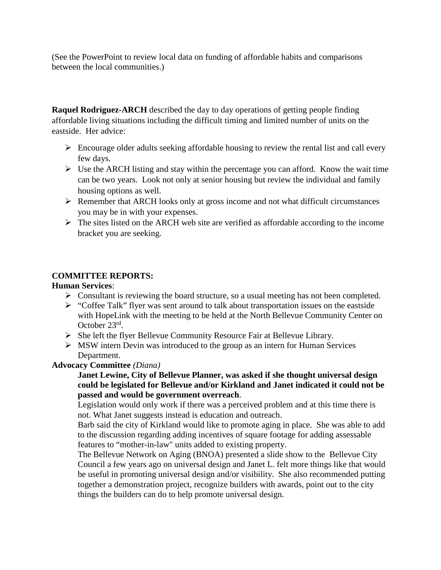(See the PowerPoint to review local data on funding of affordable habits and comparisons between the local communities.)

**Raquel Rodriguez-ARCH** described the day to day operations of getting people finding affordable living situations including the difficult timing and limited number of units on the eastside. Her advice:

- $\triangleright$  Encourage older adults seeking affordable housing to review the rental list and call every few days.
- $\triangleright$  Use the ARCH listing and stay within the percentage you can afford. Know the wait time can be two years. Look not only at senior housing but review the individual and family housing options as well.
- $\triangleright$  Remember that ARCH looks only at gross income and not what difficult circumstances you may be in with your expenses.
- $\triangleright$  The sites listed on the ARCH web site are verified as affordable according to the income bracket you are seeking.

# **COMMITTEE REPORTS:**

### **Human Services**:

- $\triangleright$  Consultant is reviewing the board structure, so a usual meeting has not been completed.
- $\triangleright$  "Coffee Talk" flyer was sent around to talk about transportation issues on the eastside with HopeLink with the meeting to be held at the North Bellevue Community Center on October 23rd.
- $\triangleright$  She left the flyer Bellevue Community Resource Fair at Bellevue Library.
- $\triangleright$  MSW intern Devin was introduced to the group as an intern for Human Services Department.

### **Advocacy Committee** *(Diana)*

**Janet Lewine, City of Bellevue Planner, was asked if she thought universal design could be legislated for Bellevue and/or Kirkland and Janet indicated it could not be passed and would be government overreach**.

Legislation would only work if there was a perceived problem and at this time there is not. What Janet suggests instead is education and outreach.

Barb said the city of Kirkland would like to promote aging in place. She was able to add to the discussion regarding adding incentives of square footage for adding assessable features to "mother-in-law" units added to existing property.

The Bellevue Network on Aging (BNOA) presented a slide show to the Bellevue City Council a few years ago on universal design and Janet L. felt more things like that would be useful in promoting universal design and/or visibility. She also recommended putting together a demonstration project, recognize builders with awards, point out to the city things the builders can do to help promote universal design.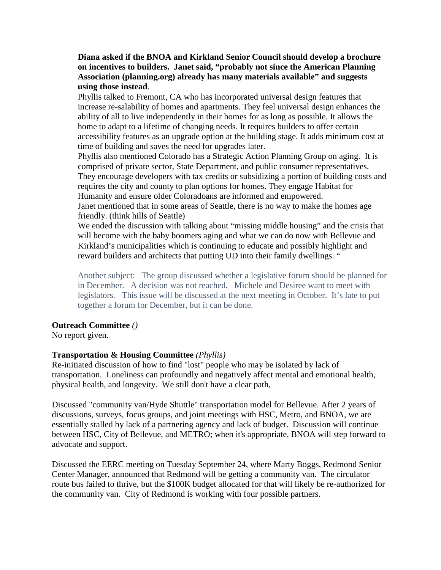### **Diana asked if the BNOA and Kirkland Senior Council should develop a brochure on incentives to builders. Janet said, "probably not since the American Planning Association (planning.org) already has many materials available" and suggests using those instead**.

Phyllis talked to Fremont, CA who has incorporated universal design features that increase re-salability of homes and apartments. They feel universal design enhances the ability of all to live independently in their homes for as long as possible. It allows the home to adapt to a lifetime of changing needs. It requires builders to offer certain accessibility features as an upgrade option at the building stage. It adds minimum cost at time of building and saves the need for upgrades later.

Phyllis also mentioned Colorado has a Strategic Action Planning Group on aging. It is comprised of private sector, State Department, and public consumer representatives. They encourage developers with tax credits or subsidizing a portion of building costs and requires the city and county to plan options for homes. They engage Habitat for Humanity and ensure older Coloradoans are informed and empowered.

Janet mentioned that in some areas of Seattle, there is no way to make the homes age friendly. (think hills of Seattle)

We ended the discussion with talking about "missing middle housing" and the crisis that will become with the baby boomers aging and what we can do now with Bellevue and Kirkland's municipalities which is continuing to educate and possibly highlight and reward builders and architects that putting UD into their family dwellings. "

Another subject: The group discussed whether a legislative forum should be planned for in December. A decision was not reached. Michele and Desiree want to meet with legislators. This issue will be discussed at the next meeting in October. It's late to put together a forum for December, but it can be done.

#### **Outreach Committee** *()*

No report given.

# **Transportation & Housing Committee** *(Phyllis)*

Re-initiated discussion of how to find "lost" people who may be isolated by lack of transportation. Loneliness can profoundly and negatively affect mental and emotional health, physical health, and longevity. We still don't have a clear path,

Discussed "community van/Hyde Shuttle" transportation model for Bellevue. After 2 years of discussions, surveys, focus groups, and joint meetings with HSC, Metro, and BNOA, we are essentially stalled by lack of a partnering agency and lack of budget. Discussion will continue between HSC, City of Bellevue, and METRO; when it's appropriate, BNOA will step forward to advocate and support.

Discussed the EERC meeting on Tuesday September 24, where Marty Boggs, Redmond Senior Center Manager, announced that Redmond will be getting a community van. The circulator route bus failed to thrive, but the \$100K budget allocated for that will likely be re-authorized for the community van. City of Redmond is working with four possible partners.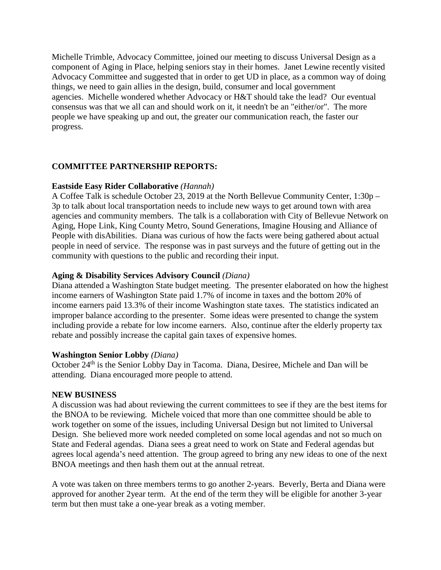Michelle Trimble, Advocacy Committee, joined our meeting to discuss Universal Design as a component of Aging in Place, helping seniors stay in their homes. Janet Lewine recently visited Advocacy Committee and suggested that in order to get UD in place, as a common way of doing things, we need to gain allies in the design, build, consumer and local government agencies. Michelle wondered whether Advocacy or H&T should take the lead? Our eventual consensus was that we all can and should work on it, it needn't be an "either/or". The more people we have speaking up and out, the greater our communication reach, the faster our progress.

# **COMMITTEE PARTNERSHIP REPORTS:**

### **Eastside Easy Rider Collaborative** *(Hannah)*

A Coffee Talk is schedule October 23, 2019 at the North Bellevue Community Center, 1:30p – 3p to talk about local transportation needs to include new ways to get around town with area agencies and community members. The talk is a collaboration with City of Bellevue Network on Aging, Hope Link, King County Metro, Sound Generations, Imagine Housing and Alliance of People with disAbilities. Diana was curious of how the facts were being gathered about actual people in need of service. The response was in past surveys and the future of getting out in the community with questions to the public and recording their input.

# **Aging & Disability Services Advisory Council** *(Diana)*

Diana attended a Washington State budget meeting. The presenter elaborated on how the highest income earners of Washington State paid 1.7% of income in taxes and the bottom 20% of income earners paid 13.3% of their income Washington state taxes. The statistics indicated an improper balance according to the presenter. Some ideas were presented to change the system including provide a rebate for low income earners. Also, continue after the elderly property tax rebate and possibly increase the capital gain taxes of expensive homes.

#### **Washington Senior Lobby** *(Diana)*

October 24<sup>th</sup> is the Senior Lobby Day in Tacoma. Diana, Desiree, Michele and Dan will be attending. Diana encouraged more people to attend.

#### **NEW BUSINESS**

A discussion was had about reviewing the current committees to see if they are the best items for the BNOA to be reviewing. Michele voiced that more than one committee should be able to work together on some of the issues, including Universal Design but not limited to Universal Design. She believed more work needed completed on some local agendas and not so much on State and Federal agendas. Diana sees a great need to work on State and Federal agendas but agrees local agenda's need attention. The group agreed to bring any new ideas to one of the next BNOA meetings and then hash them out at the annual retreat.

A vote was taken on three members terms to go another 2-years. Beverly, Berta and Diana were approved for another 2year term. At the end of the term they will be eligible for another 3-year term but then must take a one-year break as a voting member.